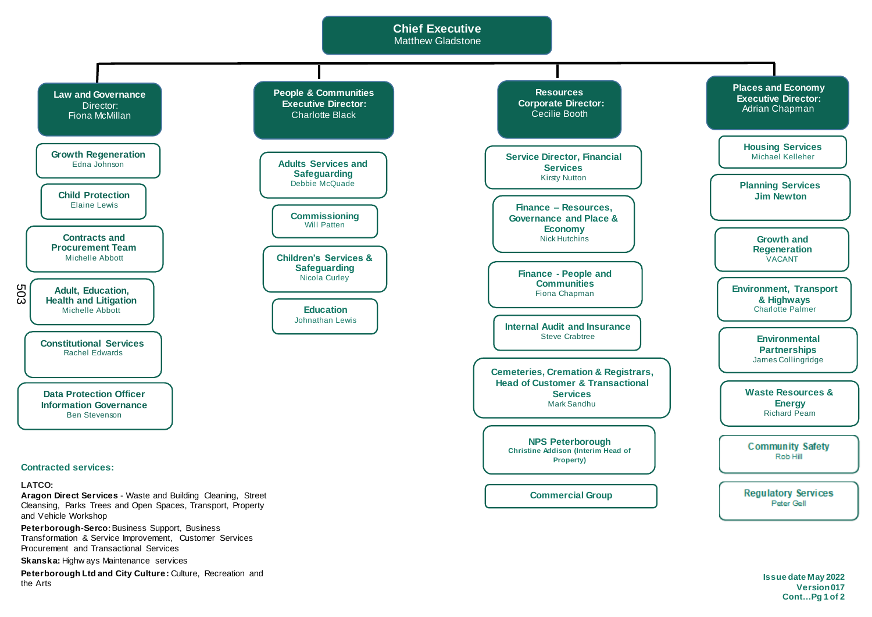## **Chief Executive** Matthew Gladstone



**Peterborough Ltd and City Culture:** Culture, Recreation and the Arts

**Issue date May 2022 Version 017 Cont…Pg 1 of 2**